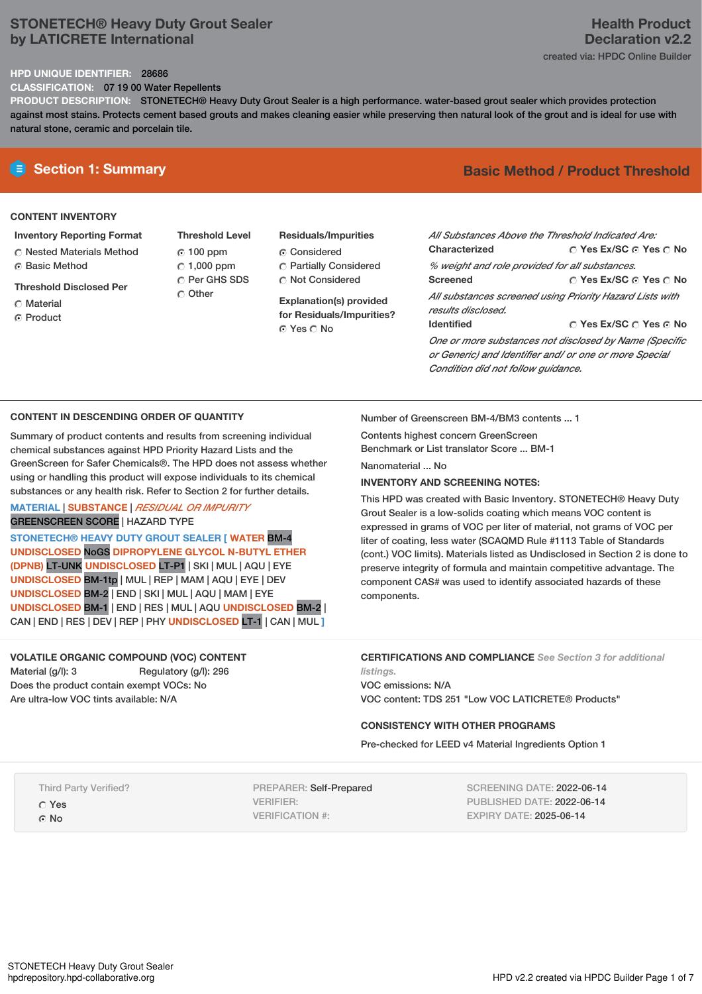# **STONETECH® Heavy Duty Grout Sealer by LATICRETE International**

# **Health Product Declaration v2.2** created via: HPDC Online Builder

### **HPD UNIQUE IDENTIFIER:** 28686

**CLASSIFICATION:** 07 19 00 Water Repellents

**PRODUCT DESCRIPTION:** STONETECH® Heavy Duty Grout Sealer is a high performance. water-based grout sealer which provides protection against most stains. Protects cement based grouts and makes cleaning easier while preserving then natural look of the grout and is ideal for use with natural stone, ceramic and porcelain tile.

### **CONTENT INVENTORY**

### **Inventory Reporting Format**

- Nested Materials Method Basic Method
- **Threshold Disclosed Per**
- Material
- ⊙ Product
- **Threshold Level** 100 ppm  $C$  1,000 ppm C Per GHS SDS C Other
- **Residuals/Impurities** Considered Partially Considered Not Considered

**Explanation(s) provided for Residuals/Impurities?** ⊙ Yes O No

# **E** Section 1: Summary **Basic** Method **/** Product Threshold

| All Substances Above the Threshold Indicated Are:                                                                |                                       |
|------------------------------------------------------------------------------------------------------------------|---------------------------------------|
| <b>Characterized</b>                                                                                             | $\cap$ Yes Ex/SC $\cap$ Yes $\cap$ No |
| % weight and role provided for all substances.                                                                   |                                       |
| <b>Screened</b>                                                                                                  | ○ Yes Ex/SC ⊙ Yes ○ No                |
| All substances screened using Priority Hazard Lists with<br>results disclosed.                                   |                                       |
| <b>Identified</b>                                                                                                | ∩ Yes Ex/SC ∩ Yes ∩ No                |
| One or more substances not disclosed by Name (Specific<br>or Generic) and Identifier and/ or one or more Special |                                       |

## **CONTENT IN DESCENDING ORDER OF QUANTITY**

Summary of product contents and results from screening individual chemical substances against HPD Priority Hazard Lists and the GreenScreen for Safer Chemicals®. The HPD does not assess whether using or handling this product will expose individuals to its chemical substances or any health risk. Refer to Section 2 for further details.

## **MATERIAL** | **SUBSTANCE** | *RESIDUAL OR IMPURITY* GREENSCREEN SCORE | HAZARD TYPE

**STONETECH® HEAVY DUTY GROUT SEALER [ WATER** BM-4 **UNDISCLOSED** NoGS **DIPROPYLENE GLYCOL N-BUTYL ETHER (DPNB)** LT-UNK **UNDISCLOSED** LT-P1 | SKI | MUL | AQU | EYE **UNDISCLOSED** BM-1tp | MUL | REP | MAM | AQU | EYE | DEV **UNDISCLOSED** BM-2 | END | SKI | MUL | AQU | MAM |EYE **UNDISCLOSED** BM-1 | END | RES | MUL | AQU **UNDISCLOSED** BM-2 | CAN | END | RES | DEV | REP | PHY **UNDISCLOSED** LT-1 | CAN | MUL **]**

## **VOLATILE ORGANIC COMPOUND (VOC) CONTENT**

Material (g/l): 3 Regulatory (g/l): 296 Does the product contain exempt VOCs: No Are ultra-low VOC tints available: N/A

Number of Greenscreen BM-4/BM3 contents ... 1

*Condition did not follow guidance.*

Contents highest concern GreenScreen Benchmark or List translator Score ... BM-1

Nanomaterial ... No

## **INVENTORY AND SCREENING NOTES:**

This HPD was created with Basic Inventory. STONETECH® Heavy Duty Grout Sealer is a low-solids coating which means VOC content is expressed in grams of VOC per liter of material, not grams of VOC per liter of coating, less water (SCAQMD Rule #1113 Table of Standards (cont.) VOC limits). Materials listed as Undisclosed in Section 2 is done to preserve integrity of formula and maintain competitive advantage. The component CAS# was used to identify associated hazards of these components.

**CERTIFICATIONS AND COMPLIANCE** *See Section 3 for additional*

*listings.* VOC emissions: N/A VOC content: TDS 251 "Low VOC LATICRETE® Products"

## **CONSISTENCY WITH OTHER PROGRAMS**

Pre-checked for LEED v4 Material Ingredients Option 1

Third Party Verified?

Yes ⊙ No

PREPARER: Self-Prepared VERIFIER: VERIFICATION #:

SCREENING DATE: 2022-06-14 PUBLISHED DATE: 2022-06-14 EXPIRY DATE: 2025-06-14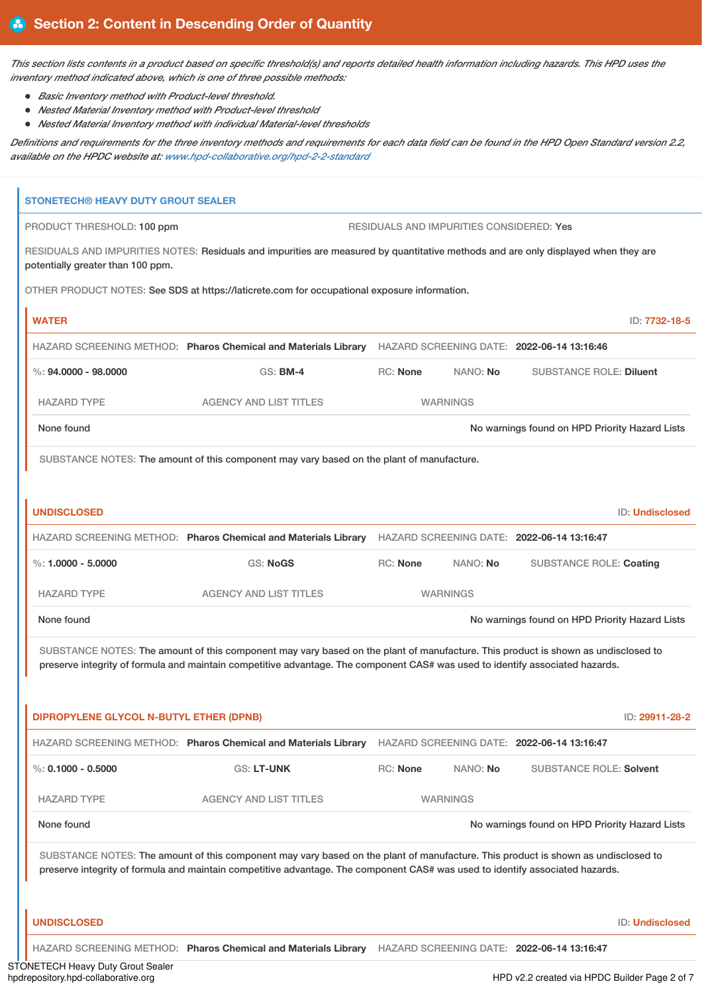This section lists contents in a product based on specific threshold(s) and reports detailed health information including hazards. This HPD uses the *inventory method indicated above, which is one of three possible methods:*

- *Basic Inventory method with Product-level threshold.*
- *Nested Material Inventory method with Product-level threshold*
- *Nested Material Inventory method with individual Material-level thresholds*

Definitions and requirements for the three inventory methods and requirements for each data field can be found in the HPD Open Standard version 2.2, *available on the HPDC website at: [www.hpd-collaborative.org/hpd-2-2-standard](https://www.hpd-collaborative.org/hpd-2-2-standard)*

| <b>STONETECH® HEAVY DUTY GROUT SEALER</b>      |                                                                                                                                                                                                                                                                    |                                          |                 |                                                |                        |
|------------------------------------------------|--------------------------------------------------------------------------------------------------------------------------------------------------------------------------------------------------------------------------------------------------------------------|------------------------------------------|-----------------|------------------------------------------------|------------------------|
| PRODUCT THRESHOLD: 100 ppm                     |                                                                                                                                                                                                                                                                    | RESIDUALS AND IMPURITIES CONSIDERED: Yes |                 |                                                |                        |
| potentially greater than 100 ppm.              | RESIDUALS AND IMPURITIES NOTES: Residuals and impurities are measured by quantitative methods and are only displayed when they are                                                                                                                                 |                                          |                 |                                                |                        |
|                                                | OTHER PRODUCT NOTES: See SDS at https://laticrete.com for occupational exposure information.                                                                                                                                                                       |                                          |                 |                                                |                        |
| <b>WATER</b>                                   |                                                                                                                                                                                                                                                                    |                                          |                 |                                                | ID: 7732-18-5          |
|                                                | HAZARD SCREENING METHOD: Pharos Chemical and Materials Library HAZARD SCREENING DATE: 2022-06-14 13:16:46                                                                                                                                                          |                                          |                 |                                                |                        |
| $\%$ : 94,0000 - 98,0000                       | <b>GS: BM-4</b>                                                                                                                                                                                                                                                    | <b>RC: None</b>                          | NANO: No        | <b>SUBSTANCE ROLE: Diluent</b>                 |                        |
| <b>HAZARD TYPE</b>                             | <b>AGENCY AND LIST TITLES</b>                                                                                                                                                                                                                                      |                                          | <b>WARNINGS</b> |                                                |                        |
| None found                                     |                                                                                                                                                                                                                                                                    |                                          |                 | No warnings found on HPD Priority Hazard Lists |                        |
|                                                | SUBSTANCE NOTES: The amount of this component may vary based on the plant of manufacture.                                                                                                                                                                          |                                          |                 |                                                |                        |
|                                                |                                                                                                                                                                                                                                                                    |                                          |                 |                                                |                        |
| <b>UNDISCLOSED</b>                             |                                                                                                                                                                                                                                                                    |                                          |                 |                                                | <b>ID: Undisclosed</b> |
|                                                | HAZARD SCREENING METHOD: Pharos Chemical and Materials Library HAZARD SCREENING DATE: 2022-06-14 13:16:47                                                                                                                                                          |                                          |                 |                                                |                        |
| %: $1.0000 - 5.0000$                           | <b>GS: NoGS</b>                                                                                                                                                                                                                                                    | <b>RC: None</b>                          | NANO: No        | <b>SUBSTANCE ROLE: Coating</b>                 |                        |
|                                                |                                                                                                                                                                                                                                                                    |                                          |                 |                                                |                        |
| <b>HAZARD TYPE</b>                             | <b>AGENCY AND LIST TITLES</b>                                                                                                                                                                                                                                      |                                          | <b>WARNINGS</b> |                                                |                        |
| None found                                     |                                                                                                                                                                                                                                                                    |                                          |                 | No warnings found on HPD Priority Hazard Lists |                        |
|                                                | SUBSTANCE NOTES: The amount of this component may vary based on the plant of manufacture. This product is shown as undisclosed to                                                                                                                                  |                                          |                 |                                                |                        |
|                                                | preserve integrity of formula and maintain competitive advantage. The component CAS# was used to identify associated hazards.                                                                                                                                      |                                          |                 |                                                |                        |
|                                                |                                                                                                                                                                                                                                                                    |                                          |                 |                                                |                        |
| <b>DIPROPYLENE GLYCOL N-BUTYL ETHER (DPNB)</b> | HAZARD SCREENING METHOD: Pharos Chemical and Materials Library HAZARD SCREENING DATE: 2022-06-14 13:16:47                                                                                                                                                          |                                          |                 |                                                | ID: 29911-28-2         |
| %: $0.1000 - 0.5000$                           | <b>GS: LT-UNK</b>                                                                                                                                                                                                                                                  | RC: None                                 | NANO: No        | <b>SUBSTANCE ROLE: Solvent</b>                 |                        |
| <b>HAZARD TYPE</b>                             | <b>AGENCY AND LIST TITLES</b>                                                                                                                                                                                                                                      |                                          | <b>WARNINGS</b> |                                                |                        |
| None found                                     |                                                                                                                                                                                                                                                                    |                                          |                 | No warnings found on HPD Priority Hazard Lists |                        |
|                                                |                                                                                                                                                                                                                                                                    |                                          |                 |                                                |                        |
|                                                | SUBSTANCE NOTES: The amount of this component may vary based on the plant of manufacture. This product is shown as undisclosed to<br>preserve integrity of formula and maintain competitive advantage. The component CAS# was used to identify associated hazards. |                                          |                 |                                                |                        |
|                                                |                                                                                                                                                                                                                                                                    |                                          |                 |                                                |                        |
| <b>UNDISCLOSED</b>                             |                                                                                                                                                                                                                                                                    |                                          |                 |                                                | <b>ID: Undisclosed</b> |

STONETECH Heavy Duty Grout Sealer<br>hpdrepository.hpd-collaborative.org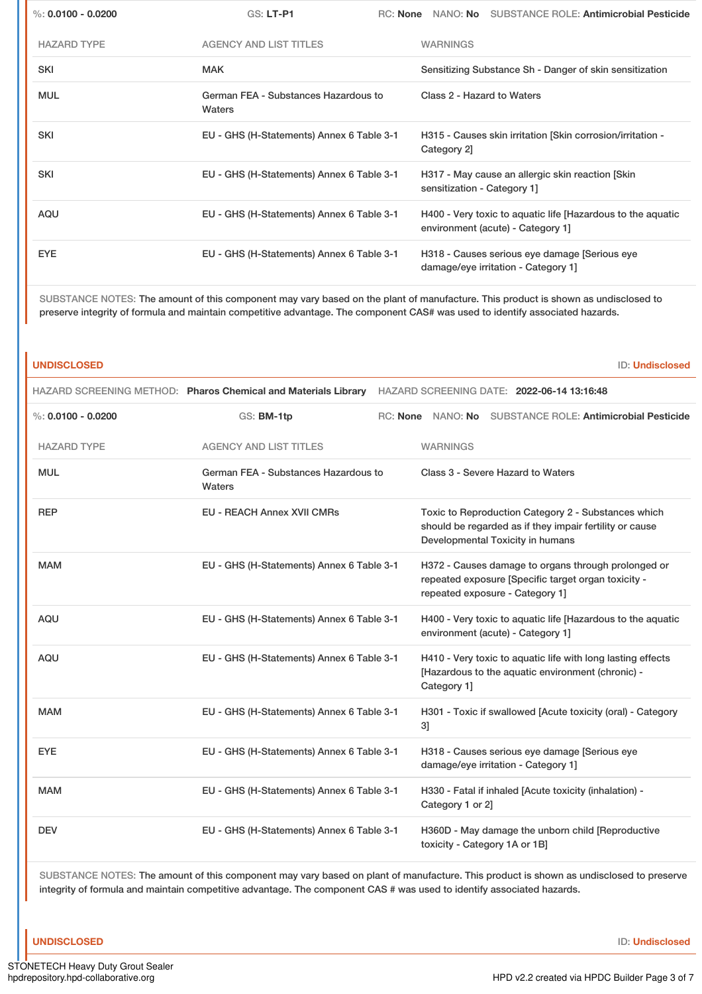| %: $0.0100 - 0.0200$ | GS: LT-P1                                      | RC: None |                             | NANO: No SUBSTANCE ROLE: Antimicrobial Pesticide                                                 |
|----------------------|------------------------------------------------|----------|-----------------------------|--------------------------------------------------------------------------------------------------|
| <b>HAZARD TYPE</b>   | <b>AGENCY AND LIST TITLES</b>                  |          | <b>WARNINGS</b>             |                                                                                                  |
| <b>SKI</b>           | <b>MAK</b>                                     |          |                             | Sensitizing Substance Sh - Danger of skin sensitization                                          |
| <b>MUL</b>           | German FEA - Substances Hazardous to<br>Waters |          | Class 2 - Hazard to Waters  |                                                                                                  |
| <b>SKI</b>           | EU - GHS (H-Statements) Annex 6 Table 3-1      |          | Category 2]                 | H315 - Causes skin irritation [Skin corrosion/irritation -                                       |
| <b>SKI</b>           | EU - GHS (H-Statements) Annex 6 Table 3-1      |          | sensitization - Category 1] | H317 - May cause an allergic skin reaction [Skin]                                                |
| AQU                  | EU - GHS (H-Statements) Annex 6 Table 3-1      |          |                             | H400 - Very toxic to aquatic life [Hazardous to the aquatic<br>environment (acute) - Category 1] |
| <b>EYE</b>           | EU - GHS (H-Statements) Annex 6 Table 3-1      |          |                             | H318 - Causes serious eye damage Serious eye<br>damage/eye irritation - Category 1]              |

SUBSTANCE NOTES: The amount of this component may vary based on the plant of manufacture. This product is shown as undisclosed to preserve integrity of formula and maintain competitive advantage. The component CAS# was used to identify associated hazards.

**UNDISCLOSED** ID: **Undisclosed**

|                      |                                                | HAZARD SCREENING METHOD: Pharos Chemical and Materials Library HAZARD SCREENING DATE: 2022-06-14 13:16:48                                          |
|----------------------|------------------------------------------------|----------------------------------------------------------------------------------------------------------------------------------------------------|
| %: $0.0100 - 0.0200$ | GS: BM-1tp                                     | RC: None NANO: No SUBSTANCE ROLE: Antimicrobial Pesticide                                                                                          |
| <b>HAZARD TYPE</b>   | <b>AGENCY AND LIST TITLES</b>                  | <b>WARNINGS</b>                                                                                                                                    |
| <b>MUL</b>           | German FEA - Substances Hazardous to<br>Waters | Class 3 - Severe Hazard to Waters                                                                                                                  |
| <b>REP</b>           | <b>EU - REACH Annex XVII CMRs</b>              | Toxic to Reproduction Category 2 - Substances which<br>should be regarded as if they impair fertility or cause<br>Developmental Toxicity in humans |
| <b>MAM</b>           | EU - GHS (H-Statements) Annex 6 Table 3-1      | H372 - Causes damage to organs through prolonged or<br>repeated exposure [Specific target organ toxicity -<br>repeated exposure - Category 1]      |
| <b>AQU</b>           | EU - GHS (H-Statements) Annex 6 Table 3-1      | H400 - Very toxic to aquatic life [Hazardous to the aquatic<br>environment (acute) - Category 1]                                                   |
| <b>AQU</b>           | EU - GHS (H-Statements) Annex 6 Table 3-1      | H410 - Very toxic to aquatic life with long lasting effects<br>[Hazardous to the aquatic environment (chronic) -<br>Category 1]                    |
| <b>MAM</b>           | EU - GHS (H-Statements) Annex 6 Table 3-1      | H301 - Toxic if swallowed [Acute toxicity (oral) - Category<br>31                                                                                  |
| <b>EYE</b>           | EU - GHS (H-Statements) Annex 6 Table 3-1      | H318 - Causes serious eye damage [Serious eye<br>damage/eye irritation - Category 1]                                                               |
| <b>MAM</b>           | EU - GHS (H-Statements) Annex 6 Table 3-1      | H330 - Fatal if inhaled [Acute toxicity (inhalation) -<br>Category 1 or 2]                                                                         |
| <b>DEV</b>           | EU - GHS (H-Statements) Annex 6 Table 3-1      | H360D - May damage the unborn child [Reproductive<br>toxicity - Category 1A or 1B]                                                                 |

SUBSTANCE NOTES: The amount of this component may vary based on plant of manufacture. This product is shown as undisclosed to preserve integrity of formula and maintain competitive advantage. The component CAS # was used to identify associated hazards.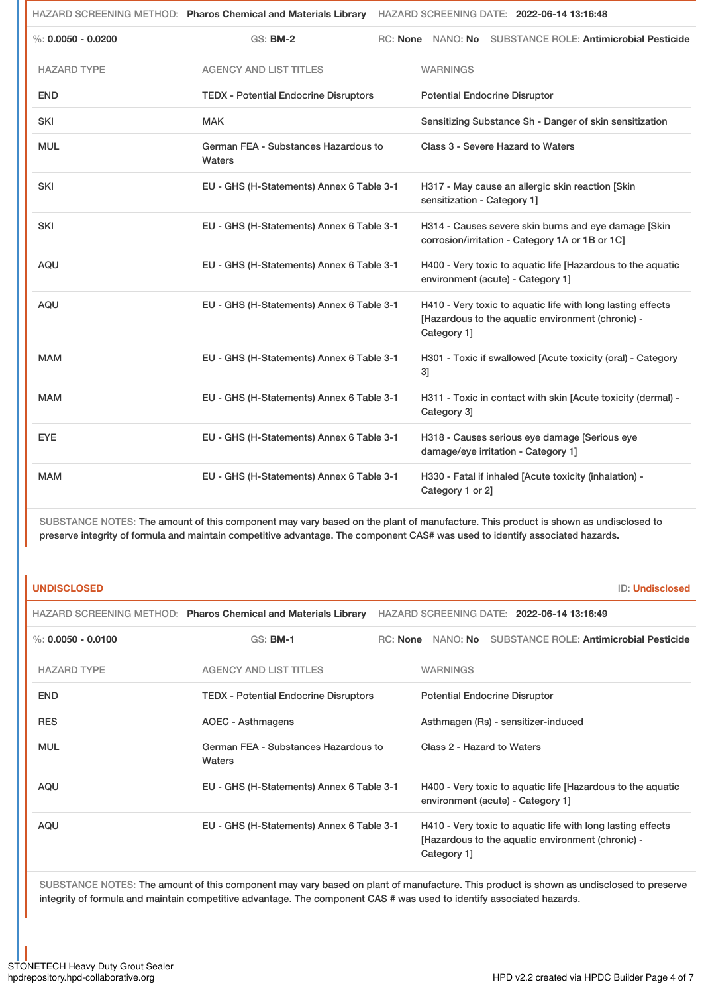|                      | HAZARD SCREENING METHOD: Pharos Chemical and Materials Library HAZARD SCREENING DATE: 2022-06-14 13:16:48 |          |                             |                                                                                                                  |                                                              |
|----------------------|-----------------------------------------------------------------------------------------------------------|----------|-----------------------------|------------------------------------------------------------------------------------------------------------------|--------------------------------------------------------------|
| %: $0.0050 - 0.0200$ | <b>GS: BM-2</b>                                                                                           | RC: None |                             |                                                                                                                  | NANO: No SUBSTANCE ROLE: Antimicrobial Pesticide             |
| <b>HAZARD TYPE</b>   | <b>AGENCY AND LIST TITLES</b>                                                                             |          | <b>WARNINGS</b>             |                                                                                                                  |                                                              |
| <b>END</b>           | <b>TEDX - Potential Endocrine Disruptors</b>                                                              |          |                             | <b>Potential Endocrine Disruptor</b>                                                                             |                                                              |
| <b>SKI</b>           | <b>MAK</b>                                                                                                |          |                             | Sensitizing Substance Sh - Danger of skin sensitization                                                          |                                                              |
| <b>MUL</b>           | German FEA - Substances Hazardous to<br>Waters                                                            |          |                             | Class 3 - Severe Hazard to Waters                                                                                |                                                              |
| <b>SKI</b>           | EU - GHS (H-Statements) Annex 6 Table 3-1                                                                 |          | sensitization - Category 1] | H317 - May cause an allergic skin reaction [Skin                                                                 |                                                              |
| <b>SKI</b>           | EU - GHS (H-Statements) Annex 6 Table 3-1                                                                 |          |                             | H314 - Causes severe skin burns and eye damage [Skin<br>corrosion/irritation - Category 1A or 1B or 1C]          |                                                              |
| AQU                  | EU - GHS (H-Statements) Annex 6 Table 3-1                                                                 |          |                             | environment (acute) - Category 1]                                                                                | H400 - Very toxic to aquatic life [Hazardous to the aquatic  |
| AQU                  | EU - GHS (H-Statements) Annex 6 Table 3-1                                                                 |          | Category 1]                 | H410 - Very toxic to aquatic life with long lasting effects<br>[Hazardous to the aquatic environment (chronic) - |                                                              |
| <b>MAM</b>           | EU - GHS (H-Statements) Annex 6 Table 3-1                                                                 |          | 3]                          |                                                                                                                  | H301 - Toxic if swallowed [Acute toxicity (oral) - Category  |
| <b>MAM</b>           | EU - GHS (H-Statements) Annex 6 Table 3-1                                                                 |          | Category 3]                 |                                                                                                                  | H311 - Toxic in contact with skin [Acute toxicity (dermal) - |
| <b>EYE</b>           | EU - GHS (H-Statements) Annex 6 Table 3-1                                                                 |          |                             | H318 - Causes serious eye damage [Serious eye<br>damage/eye irritation - Category 1]                             |                                                              |
| <b>MAM</b>           | EU - GHS (H-Statements) Annex 6 Table 3-1                                                                 |          | Category 1 or 2]            | H330 - Fatal if inhaled [Acute toxicity (inhalation) -                                                           |                                                              |

SUBSTANCE NOTES: The amount of this component may vary based on the plant of manufacture. This product is shown as undisclosed to preserve integrity of formula and maintain competitive advantage. The component CAS# was used to identify associated hazards.

# **UNDISCLOSED** ID: **Undisclosed**

|                      | HAZARD SCREENING METHOD: Pharos Chemical and Materials Library |          |                                      | HAZARD SCREENING DATE: 2022-06-14 13:16:49                                                                       |
|----------------------|----------------------------------------------------------------|----------|--------------------------------------|------------------------------------------------------------------------------------------------------------------|
| %: $0.0050 - 0.0100$ | $GS:$ BM-1                                                     | RC: None | NANO: <b>No</b>                      | <b>SUBSTANCE ROLE: Antimicrobial Pesticide</b>                                                                   |
| <b>HAZARD TYPE</b>   | <b>AGENCY AND LIST TITLES</b>                                  |          | <b>WARNINGS</b>                      |                                                                                                                  |
| <b>END</b>           | <b>TEDX - Potential Endocrine Disruptors</b>                   |          | <b>Potential Endocrine Disruptor</b> |                                                                                                                  |
| <b>RES</b>           | <b>AOEC - Asthmagens</b>                                       |          |                                      | Asthmagen (Rs) - sensitizer-induced                                                                              |
| <b>MUL</b>           | German FEA - Substances Hazardous to<br>Waters                 |          | Class 2 - Hazard to Waters           |                                                                                                                  |
| AQU                  | EU - GHS (H-Statements) Annex 6 Table 3-1                      |          |                                      | H400 - Very toxic to aquatic life [Hazardous to the aquatic<br>environment (acute) - Category 1]                 |
| AQU                  | EU - GHS (H-Statements) Annex 6 Table 3-1                      |          | Category 1                           | H410 - Very toxic to aquatic life with long lasting effects<br>[Hazardous to the aquatic environment (chronic) - |

SUBSTANCE NOTES: The amount of this component may vary based on plant of manufacture. This product is shown as undisclosed to preserve integrity of formula and maintain competitive advantage. The component CAS # was used to identify associated hazards.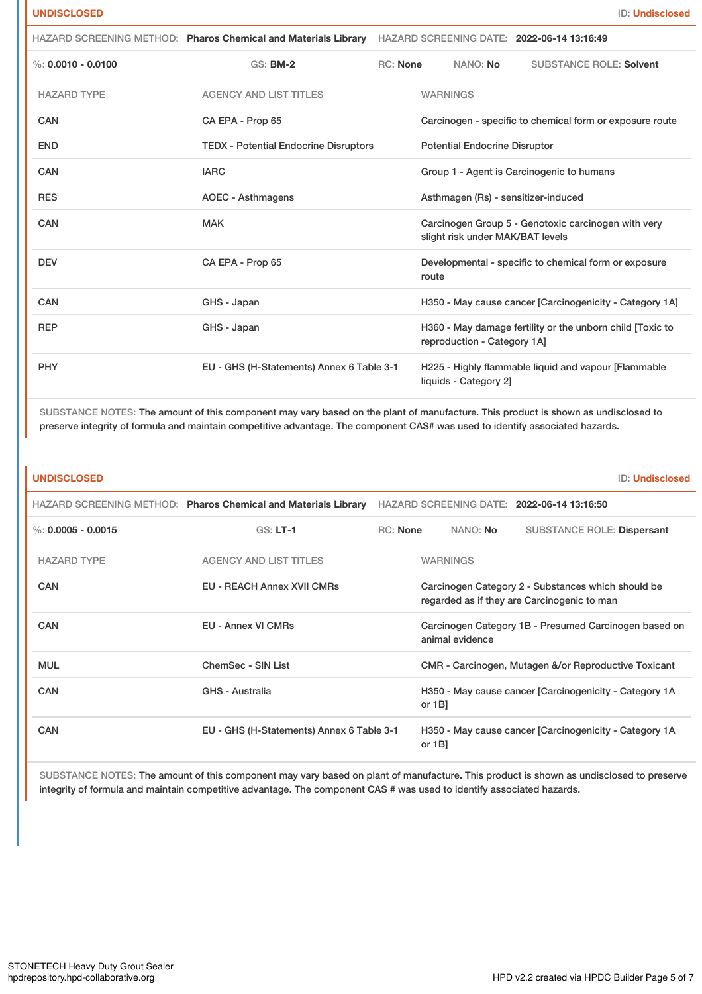|                      | HAZARD SCREENING METHOD: Pharos Chemical and Materials Library HAZARD SCREENING DATE: 2022-06-14 13:16:49 |                 |                 |                                      |                                                           |
|----------------------|-----------------------------------------------------------------------------------------------------------|-----------------|-----------------|--------------------------------------|-----------------------------------------------------------|
| %: $0.0010 - 0.0100$ | $GS:$ BM-2                                                                                                | <b>RC:</b> None |                 | NANO: No                             | <b>SUBSTANCE ROLE: Solvent</b>                            |
| <b>HAZARD TYPE</b>   | <b>AGENCY AND LIST TITLES</b>                                                                             |                 | <b>WARNINGS</b> |                                      |                                                           |
| <b>CAN</b>           | CA EPA - Prop 65                                                                                          |                 |                 |                                      | Carcinogen - specific to chemical form or exposure route  |
| <b>END</b>           | <b>TEDX - Potential Endocrine Disruptors</b>                                                              |                 |                 | <b>Potential Endocrine Disruptor</b> |                                                           |
| <b>CAN</b>           | <b>IARC</b>                                                                                               |                 |                 |                                      | Group 1 - Agent is Carcinogenic to humans                 |
| <b>RES</b>           | <b>AOEC - Asthmagens</b>                                                                                  |                 |                 |                                      | Asthmagen (Rs) - sensitizer-induced                       |
| CAN                  | <b>MAK</b>                                                                                                |                 |                 | slight risk under MAK/BAT levels     | Carcinogen Group 5 - Genotoxic carcinogen with very       |
| <b>DEV</b>           | CA EPA - Prop 65                                                                                          |                 | route           |                                      | Developmental - specific to chemical form or exposure     |
| <b>CAN</b>           | GHS - Japan                                                                                               |                 |                 |                                      | H350 - May cause cancer [Carcinogenicity - Category 1A]   |
| <b>REP</b>           | GHS - Japan                                                                                               |                 |                 | reproduction - Category 1A]          | H360 - May damage fertility or the unborn child [Toxic to |
| <b>PHY</b>           | EU - GHS (H-Statements) Annex 6 Table 3-1                                                                 |                 |                 | liquids - Category 2]                | H225 - Highly flammable liquid and vapour [Flammable      |

SUBSTANCE NOTES: The amount of this component may vary based on the plant of manufacture. This product is shown as undisclosed to preserve integrity of formula and maintain competitive advantage. The component CAS# was used to identify associated hazards.

| <b>UNDISCLOSED</b>   |                                                                |                 |                                                                          | <b>ID: Undisclosed</b>                                                                            |  |
|----------------------|----------------------------------------------------------------|-----------------|--------------------------------------------------------------------------|---------------------------------------------------------------------------------------------------|--|
|                      | HAZARD SCREENING METHOD: Pharos Chemical and Materials Library |                 |                                                                          | HAZARD SCREENING DATE: 2022-06-14 13:16:50                                                        |  |
| %: $0.0005 - 0.0015$ | $GS: LT-1$                                                     | <b>RC:</b> None | NANO: No                                                                 | <b>SUBSTANCE ROLE: Dispersant</b>                                                                 |  |
| <b>HAZARD TYPE</b>   | <b>AGENCY AND LIST TITLES</b>                                  |                 | <b>WARNINGS</b>                                                          |                                                                                                   |  |
| <b>CAN</b>           | <b>EU - REACH Annex XVII CMRs</b>                              |                 |                                                                          | Carcinogen Category 2 - Substances which should be<br>regarded as if they are Carcinogenic to man |  |
| <b>CAN</b>           | <b>EU - Annex VI CMRs</b>                                      |                 | Carcinogen Category 1B - Presumed Carcinogen based on<br>animal evidence |                                                                                                   |  |
| <b>MUL</b>           | ChemSec - SIN List                                             |                 | CMR - Carcinogen, Mutagen &/or Reproductive Toxicant                     |                                                                                                   |  |
| <b>CAN</b>           | GHS - Australia                                                |                 | H350 - May cause cancer [Carcinogenicity - Category 1A<br>or $1B$        |                                                                                                   |  |
| <b>CAN</b>           | EU - GHS (H-Statements) Annex 6 Table 3-1                      |                 | or $1B$                                                                  | H350 - May cause cancer [Carcinogenicity - Category 1A                                            |  |

SUBSTANCE NOTES: The amount of this component may vary based on plant of manufacture. This product is shown as undisclosed to preserve integrity of formula and maintain competitive advantage. The component CAS # was used to identify associated hazards.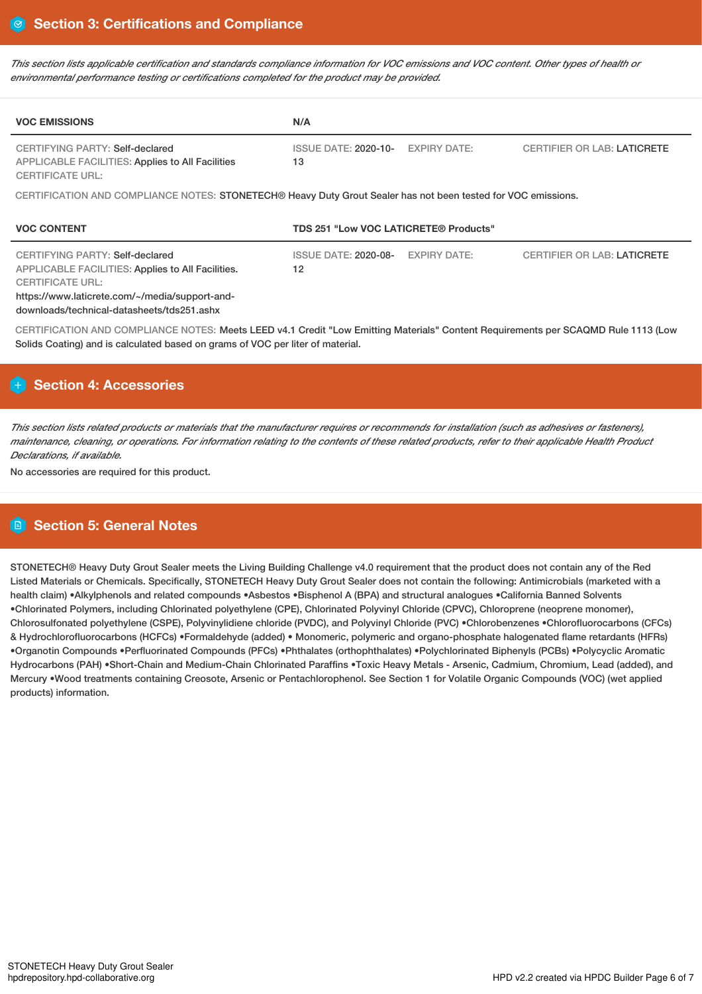This section lists applicable certification and standards compliance information for VOC emissions and VOC content. Other types of health or *environmental performance testing or certifications completed for the product may be provided.*

| <b>VOC EMISSIONS</b>                                                                                                                                                                                                   | N/A                                                                                                           |                     |                                    |  |  |  |  |
|------------------------------------------------------------------------------------------------------------------------------------------------------------------------------------------------------------------------|---------------------------------------------------------------------------------------------------------------|---------------------|------------------------------------|--|--|--|--|
| <b>CERTIFYING PARTY: Self-declared</b><br><b>APPLICABLE FACILITIES: Applies to All Facilities</b><br><b>CERTIFICATE URL:</b>                                                                                           | <b>ISSUE DATE: 2020-10-</b><br>13                                                                             | <b>EXPIRY DATE:</b> | <b>CERTIFIER OR LAB: LATICRETE</b> |  |  |  |  |
|                                                                                                                                                                                                                        | CERTIFICATION AND COMPLIANCE NOTES: STONETECH® Heavy Duty Grout Sealer has not been tested for VOC emissions. |                     |                                    |  |  |  |  |
| <b>VOC CONTENT</b><br>TDS 251 "Low VOC LATICRETE® Products"                                                                                                                                                            |                                                                                                               |                     |                                    |  |  |  |  |
| CERTIFYING PARTY: Self-declared<br><b>APPLICABLE FACILITIES: Applies to All Facilities.</b><br><b>CERTIFICATE URL:</b><br>https://www.laticrete.com/~/media/support-and-<br>downloads/technical-datasheets/tds251.ashx | <b>ISSUE DATE: 2020-08-</b><br>12                                                                             | <b>EXPIRY DATE:</b> | <b>CERTIFIER OR LAB: LATICRETE</b> |  |  |  |  |
| CERTIFICATION AND COMPLIANCE NOTES: Meets LEED v4.1 Credit "Low Emitting Materials" Content Requirements per SCAQMD Rule 1113 (Low<br>Solids Coating) and is calculated based on grams of VOC per liter of material.   |                                                                                                               |                     |                                    |  |  |  |  |

# **Section 4: Accessories**

This section lists related products or materials that the manufacturer requires or recommends for installation (such as adhesives or fasteners), maintenance, cleaning, or operations. For information relating to the contents of these related products, refer to their applicable Health Product *Declarations, if available.*

No accessories are required for this product.

# **Section 5: General Notes**

STONETECH® Heavy Duty Grout Sealer meets the Living Building Challenge v4.0 requirement that the product does not contain any of the Red Listed Materials or Chemicals. Specifically, STONETECH Heavy Duty Grout Sealer does not contain the following: Antimicrobials (marketed with a health claim) •Alkylphenols and related compounds •Asbestos •Bisphenol A (BPA) and structural analogues •California Banned Solvents •Chlorinated Polymers, including Chlorinated polyethylene (CPE), Chlorinated Polyvinyl Chloride (CPVC), Chloroprene (neoprene monomer), Chlorosulfonated polyethylene (CSPE), Polyvinylidiene chloride (PVDC), and Polyvinyl Chloride (PVC) •Chlorobenzenes •Chlorofluorocarbons (CFCs) & Hydrochlorofluorocarbons (HCFCs) •Formaldehyde (added) • Monomeric, polymeric and organo-phosphate halogenated flame retardants (HFRs) •Organotin Compounds •Perfluorinated Compounds (PFCs) •Phthalates (orthophthalates) •Polychlorinated Biphenyls (PCBs) •Polycyclic Aromatic Hydrocarbons (PAH) •Short-Chain and Medium-Chain Chlorinated Paraffins •Toxic Heavy Metals - Arsenic, Cadmium, Chromium, Lead (added), and Mercury •Wood treatments containing Creosote, Arsenic or Pentachlorophenol. See Section 1 for Volatile Organic Compounds (VOC) (wet applied products) information.